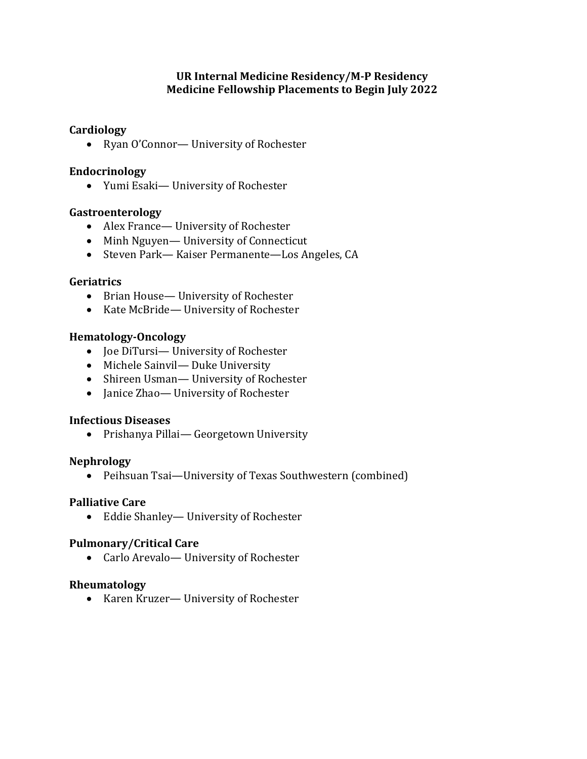## **Cardiology**

• Ryan O'Connor— University of Rochester

## **Endocrinology**

• Yumi Esaki- University of Rochester

## **Gastroenterology**

- Alex France— University of Rochester
- Minh Nguyen— University of Connecticut
- Steven Park— Kaiser Permanente—Los Angeles, CA

## **Geriatrics**

- Brian House— University of Rochester
- Kate McBride— University of Rochester

## **Hematology-Oncology**

- Joe DiTursi— University of Rochester
- Michele Sainvil— Duke University
- Shireen Usman— University of Rochester
- Janice Zhao— University of Rochester

### **Infectious Diseases**

• Prishanya Pillai-Georgetown University

### **Nephrology**

• Peihsuan Tsai—University of Texas Southwestern (combined)

### **Palliative Care**

• Eddie Shanley- University of Rochester

### **Pulmonary/Critical Care**

• Carlo Arevalo- University of Rochester

### **Rheumatology**

• Karen Kruzer— University of Rochester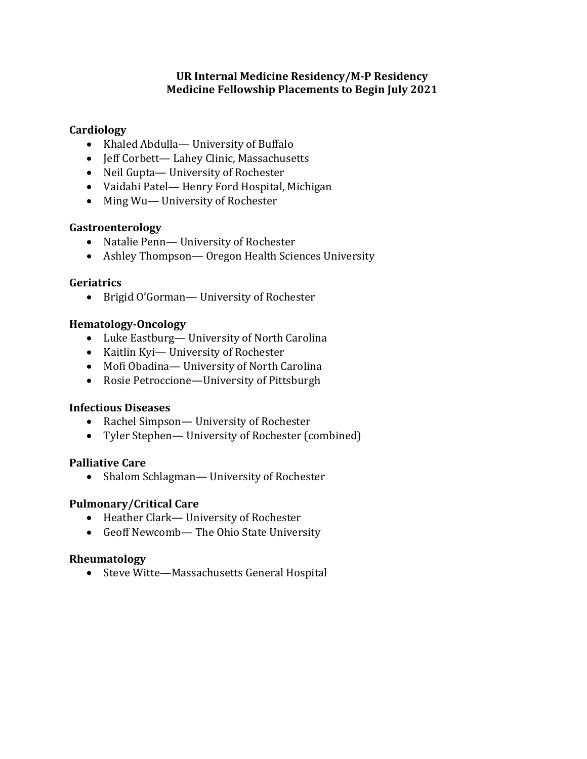# **Cardiology**

- Khaled Abdulla— University of Buffalo
- Jeff Corbett-Lahey Clinic, Massachusetts
- Neil Gupta— University of Rochester
- Vaidahi Patel— Henry Ford Hospital, Michigan
- Ming Wu— University of Rochester

## **Gastroenterology**

- Natalie Penn-University of Rochester
- Ashley Thompson— Oregon Health Sciences University

## **Geriatrics**

• Brigid O'Gorman- University of Rochester

# **Hematology-Oncology**

- Luke Eastburg— University of North Carolina
- Kaitlin Kyi-University of Rochester
- Mofi Obadina— University of North Carolina
- Rosie Petroccione—University of Pittsburgh

# **Infectious Diseases**

- Rachel Simpson— University of Rochester
- Tyler Stephen— University of Rochester (combined)

### **Palliative Care**

• Shalom Schlagman— University of Rochester

# **Pulmonary/Critical Care**

- Heather Clark— University of Rochester
- Geoff Newcomb-The Ohio State University

# **Rheumatology**

• Steve Witte—Massachusetts General Hospital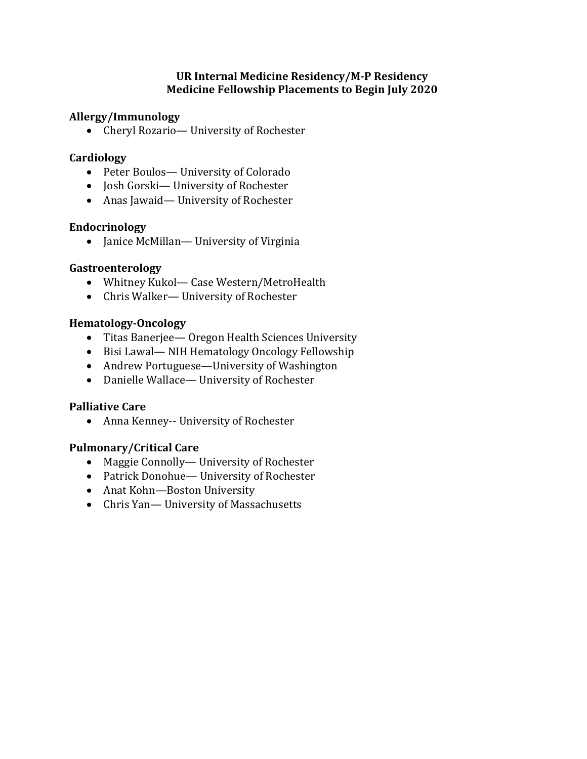## **Allergy/Immunology**

• Cheryl Rozario-University of Rochester

## **Cardiology**

- Peter Boulos-University of Colorado
- Josh Gorski— University of Rochester
- Anas Jawaid— University of Rochester

## **Endocrinology**

• Janice McMillan— University of Virginia

## **Gastroenterology**

- Whitney Kukol- Case Western/MetroHealth
- Chris Walker— University of Rochester

## **Hematology-Oncology**

- Titas Banerjee Oregon Health Sciences University
- Bisi Lawal-NIH Hematology Oncology Fellowship
- Andrew Portuguese—University of Washington
- Danielle Wallace— University of Rochester

# **Palliative Care**

• Anna Kenney-- University of Rochester

# **Pulmonary/Critical Care**

- Maggie Connolly— University of Rochester
- Patrick Donohue— University of Rochester
- Anat Kohn-Boston University
- Chris Yan-University of Massachusetts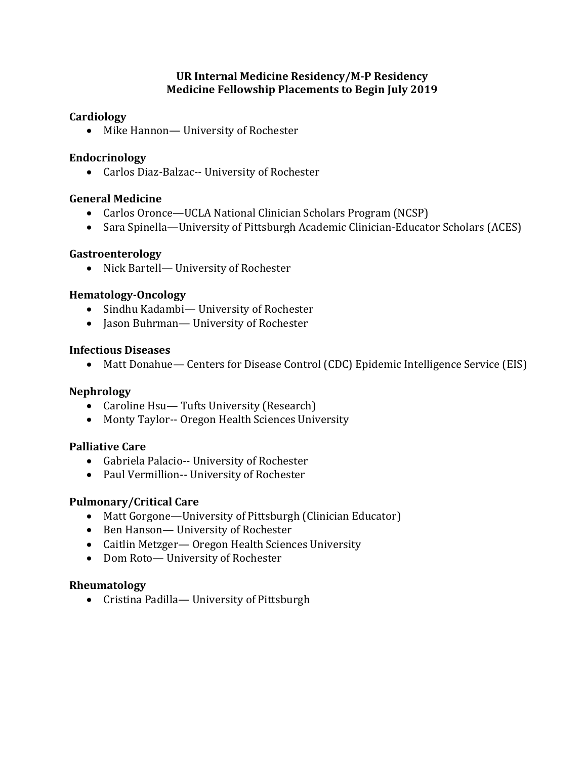## **Cardiology**

• Mike Hannon— University of Rochester

## **Endocrinology**

• Carlos Diaz-Balzac-- University of Rochester

## **General Medicine**

- Carlos Oronce—UCLA National Clinician Scholars Program (NCSP)
- Sara Spinella—University of Pittsburgh Academic Clinician-Educator Scholars (ACES)

## **Gastroenterology**

• Nick Bartell- University of Rochester

## **Hematology-Oncology**

- Sindhu Kadambi- University of Rochester
- Jason Buhrman— University of Rochester

### **Infectious Diseases**

• Matt Donahue— Centers for Disease Control (CDC) Epidemic Intelligence Service (EIS)

# **Nephrology**

- Caroline Hsu— Tufts University (Research)
- Monty Taylor-- Oregon Health Sciences University

### **Palliative Care**

- Gabriela Palacio-- University of Rochester
- Paul Vermillion-- University of Rochester

# **Pulmonary/Critical Care**

- Matt Gorgone—University of Pittsburgh (Clinician Educator)
- Ben Hanson-University of Rochester
- Caitlin Metzger— Oregon Health Sciences University
- Dom Roto-University of Rochester

### **Rheumatology**

• Cristina Padilla— University of Pittsburgh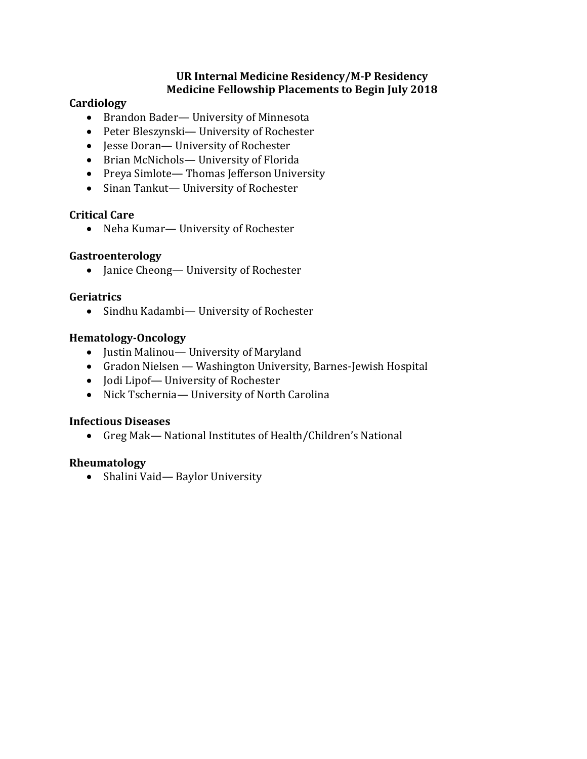# **Cardiology**

- Brandon Bader— University of Minnesota
- Peter Bleszynski- University of Rochester
- Jesse Doran— University of Rochester
- Brian McNichols— University of Florida
- Preya Simlote— Thomas Jefferson University
- Sinan Tankut— University of Rochester

# **Critical Care**

• Neha Kumar-University of Rochester

# **Gastroenterology**

• Janice Cheong— University of Rochester

# **Geriatrics**

• Sindhu Kadambi- University of Rochester

# **Hematology-Oncology**

- Justin Malinou— University of Maryland
- Gradon Nielsen Washington University, Barnes-Jewish Hospital
- Jodi Lipof— University of Rochester
- Nick Tschernia— University of North Carolina

# **Infectious Diseases**

• Greg Mak— National Institutes of Health/Children's National

# **Rheumatology**

• Shalini Vaid-Baylor University